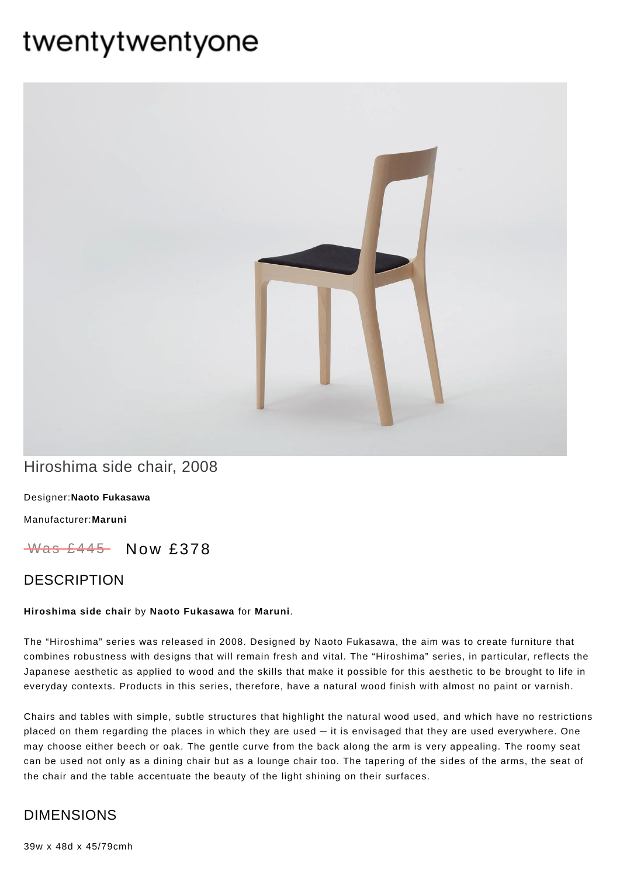# twentytwentyone



# Hiroshima side chair, 2008

Designer:**Naoto [Fukasawa](https://www.twentytwentyone.com/collections/designers-naoto-fukasawa)**

[Manufacturer:](https://www.twentytwentyone.com/collections/manufacturers-maruni)**Maruni**

 $W$ as £445 Now £378

### DESCRIPTION

#### **Hiroshima side chair** by **Naoto [Fukasawa](http://twentytwentyone.com/designer/naoto-fukasawa)** for **[Maruni](http://twentytwentyone.com/manufacturer/maruni)**.

The "Hiroshima" series was released in 2008. Designed by Naoto Fukasawa, the aim was to create furniture that combines robustness with designs that will remain fresh and vital. The "Hiroshima" series, in particular, reflects the Japanese aesthetic as applied to wood and the skills that make it possible for this aesthetic to be brought to life in everyday contexts. Products in this series, therefore, have a natural wood finish with almost no paint or varnish.

Chairs and tables with simple, subtle structures that highlight the natural wood used, and which have no restrictions placed on them regarding the places in which they are used — it is envisaged that they are used everywhere. One may choose either beech or oak. The gentle curve from the back along the arm is very appealing. The roomy seat can be used not only as a dining chair but as a lounge chair too. The tapering of the sides of the arms, the seat of the chair and the table accentuate the beauty of the light shining on their surfaces.

## DIMENSIONS

39w x 48d x 45/79cmh